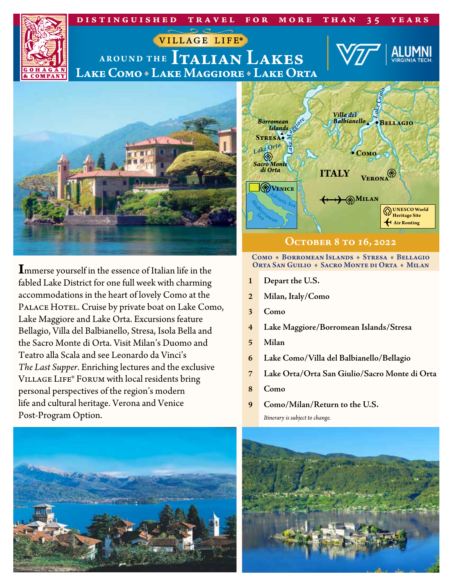

**I**mmerse yourself in the essence of Italian life in the fabled Lake District for one full week with charming accommodations in the heart of lovely Como at the PALACE HOTEL. Cruise by private boat on Lake Como, Lake Maggiore and Lake Orta. Excursions feature Bellagio, Villa del Balbianello, Stresa, Isola Bella and the Sacro Monte di Orta. Visit Milan's Duomo and Teatro alla Scala and see Leonardo da Vinci's *The Last Supper*. Enriching lectures and the exclusive Village Life® Forum with local residents bring personal perspectives of the region's modern life and cultural heritage. Verona and Venice Post‑Program Option.



#### Como + Borromean Islands + Stresa + Bellagio Orta San Guilio + Sacro Monte di Orta + Milan

- **1 Depart the U.S.**
- **2 Milan, Italy/Como**
- **3 Como**
- **4 Lake Maggiore/Borromean Islands/Stresa**
- **5 Milan**
- **6 Lake Como/Villa del Balbianello/Bellagio**
- **7 Lake Orta/Orta San Giulio/Sacro Monte di Orta**
- **8 Como**
- **9 Como/Milan/Return to the U.S.**

*Itinerary is subject to change.*